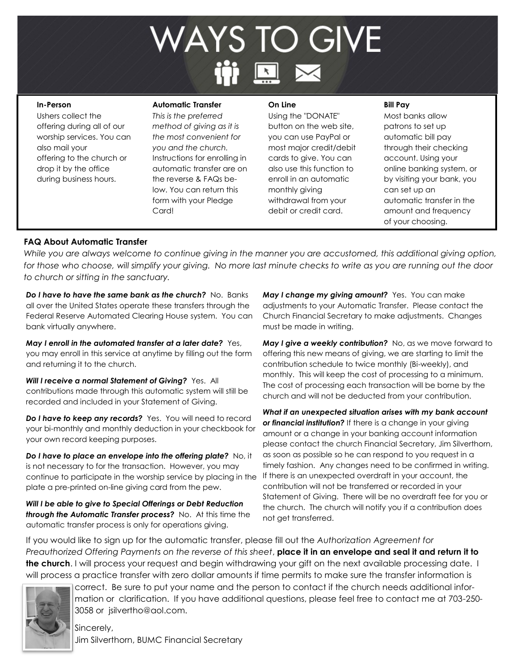# **WAYS TO GIVE Four Methods of Giving**

#### **In-Person**

Ushers collect the offering during all of our worship services. You can also mail your offering to the church or drop it by the office during business hours.

#### **Automatic Transfer**

*This is the preferred method of giving as it is the most convenient for you and the church.*  Instructions for enrolling in automatic transfer are on the reverse & FAQs below. You can return this form with your Pledge Card!

#### **On Line**

Using the "DONATE" button on the web site, you can use PayPal or most major credit/debit cards to give. You can also use this function to enroll in an automatic monthly giving withdrawal from your debit or credit card.

#### **Bill Pay**

Most banks allow patrons to set up automatic bill pay through their checking account. Using your online banking system, or by visiting your bank, you can set up an automatic transfer in the amount and frequency of your choosing.

### **FAQ About Automatic Transfer**

*While you are always welcome to continue giving in the manner you are accustomed, this additional giving option, for those who choose, will simplify your giving. No more last minute checks to write as you are running out the door to church or sitting in the sanctuary.* 

*Do I have to have the same bank as the church?* No. Banks all over the United States operate these transfers through the Federal Reserve Automated Clearing House system. You can bank virtually anywhere.

*May I enroll in the automated transfer at a later date?* Yes, you may enroll in this service at anytime by filling out the form and returning it to the church.

*Will I receive a normal Statement of Giving?* Yes. All contributions made through this automatic system will still be recorded and included in your Statement of Giving.

**Do I have to keep any records?** Yes. You will need to record your bi-monthly and monthly deduction in your checkbook for your own record keeping purposes.

*Do I have to place an envelope into the offering plate?* No, it is not necessary to for the transaction. However, you may continue to participate in the worship service by placing in the plate a pre-printed on-line giving card from the pew.

*Will I be able to give to Special Offerings or Debt Reduction through the Automatic Transfer process?* No. At this time the automatic transfer process is only for operations giving.

*May I change my giving amount?* Yes. You can make adjustments to your Automatic Transfer. Please contact the Church Financial Secretary to make adjustments. Changes must be made in writing.

*May I give a weekly contribution?* No, as we move forward to offering this new means of giving, we are starting to limit the contribution schedule to twice monthly (Bi-weekly), and monthly. This will keep the cost of processing to a minimum. The cost of processing each transaction will be borne by the church and will not be deducted from your contribution.

*What if an unexpected situation arises with my bank account or financial institution?* If there is a change in your giving amount or a change in your banking account information please contact the church Financial Secretary, Jim Silverthorn, as soon as possible so he can respond to you request in a timely fashion. Any changes need to be confirmed in writing. If there is an unexpected overdraft in your account, the contribution will not be transferred or recorded in your Statement of Giving. There will be no overdraft fee for you or the church. The church will notify you if a contribution does not get transferred.

If you would like to sign up for the automatic transfer, please fill out the *Authorization Agreement for Preauthorized Offering Payments on the reverse of this sheet*, **place it in an envelope and seal it and return it to the church**. I will process your request and begin withdrawing your gift on the next available processing date. I will process a practice transfer with zero dollar amounts if time permits to make sure the transfer information is



correct. Be sure to put your name and the person to contact if the church needs additional information or clarification. If you have additional questions, please feel free to contact me at 703-250- 3058 or jsilvertho@aol.com.

Sincerely, Jim Silverthorn, BUMC Financial Secretary